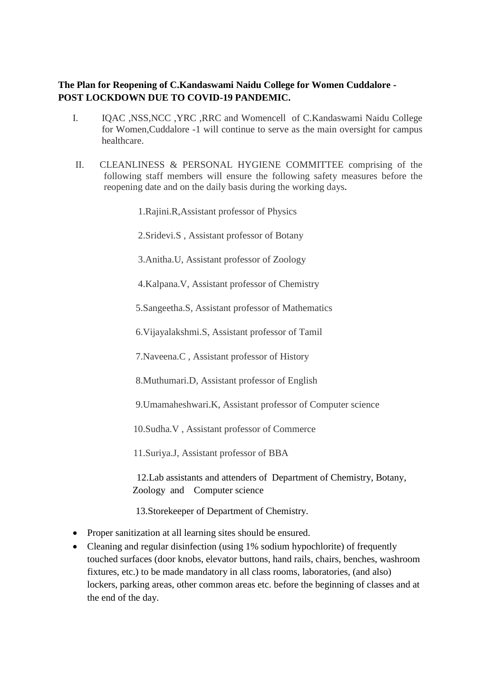## **The Plan for Reopening of C.Kandaswami Naidu College for Women Cuddalore - POST LOCKDOWN DUE TO COVID-19 PANDEMIC.**

- I. IQAC ,NSS,NCC ,YRC ,RRC and Womencell of C.Kandaswami Naidu College for Women,Cuddalore -1 will continue to serve as the main oversight for campus healthcare.
- II. CLEANLINESS & PERSONAL HYGIENE COMMITTEE comprising of the following staff members will ensure the following safety measures before the reopening date and on the daily basis during the working days*.*

1.Rajini.R,Assistant professor of Physics

2.Sridevi.S , Assistant professor of Botany

3.Anitha.U, Assistant professor of Zoology

4.Kalpana.V, Assistant professor of Chemistry

5.Sangeetha.S, Assistant professor of Mathematics

6.Vijayalakshmi.S, Assistant professor of Tamil

7.Naveena.C , Assistant professor of History

8.Muthumari.D, Assistant professor of English

9.Umamaheshwari.K, Assistant professor of Computer science

10.Sudha.V , Assistant professor of Commerce

11.Suriya.J, Assistant professor of BBA

12.Lab assistants and attenders of Department of Chemistry, Botany, Zoology and Computer science

13.Storekeeper of Department of Chemistry.

- Proper sanitization at all learning sites should be ensured.
- Cleaning and regular disinfection (using 1% sodium hypochlorite) of frequently touched surfaces (door knobs, elevator buttons, hand rails, chairs, benches, washroom fixtures, etc.) to be made mandatory in all class rooms, laboratories, (and also) lockers, parking areas, other common areas etc. before the beginning of classes and at the end of the day.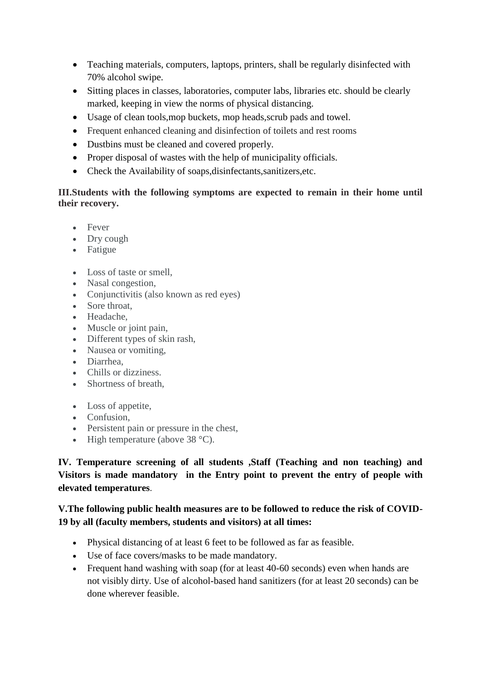- Teaching materials, computers, laptops, printers, shall be regularly disinfected with 70% alcohol swipe.
- Sitting places in classes, laboratories, computer labs, libraries etc. should be clearly marked, keeping in view the norms of physical distancing.
- Usage of clean tools,mop buckets, mop heads,scrub pads and towel.
- Frequent enhanced cleaning and disinfection of toilets and rest rooms
- Dustbins must be cleaned and covered properly.
- Proper disposal of wastes with the help of municipality officials.
- Check the Availability of soaps,disinfectants,sanitizers,etc.

## **III.Students with the following symptoms are expected to remain in their home until their recovery.**

- Fever
- Dry cough
- Fatigue
- Loss of taste or smell,
- Nasal congestion,
- Conjunctivitis (also known as red eyes)
- Sore throat,
- Headache,
- Muscle or joint pain,
- Different types of skin rash,
- Nausea or vomiting,
- Diarrhea,
- Chills or dizziness.
- Shortness of breath,
- Loss of appetite,
- Confusion.
- Persistent pain or pressure in the chest,
- $\bullet$  High temperature (above 38 °C).

**IV. Temperature screening of all students ,Staff (Teaching and non teaching) and Visitors is made mandatory in the Entry point to prevent the entry of people with elevated temperatures**.

# **V.The following public health measures are to be followed to reduce the risk of COVID-19 by all (faculty members, students and visitors) at all times:**

- Physical distancing of at least 6 feet to be followed as far as feasible.
- Use of face covers/masks to be made mandatory.
- Frequent hand washing with soap (for at least 40-60 seconds) even when hands are not visibly dirty. Use of alcohol-based hand sanitizers (for at least 20 seconds) can be done wherever feasible.